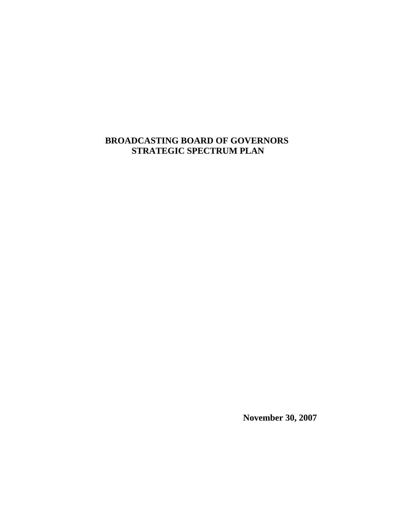## **BROADCASTING BOARD OF GOVERNORS STRATEGIC SPECTRUM PLAN**

 **November 30, 2007**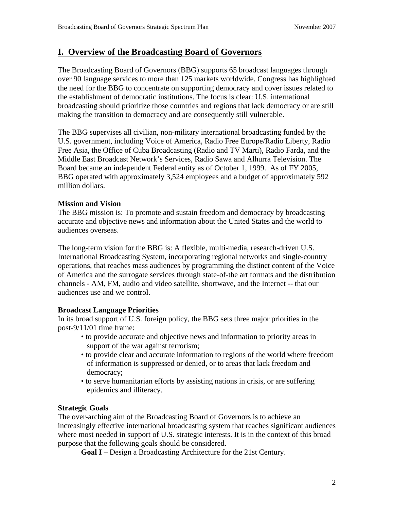## **I. Overview of the Broadcasting Board of Governors**

The Broadcasting Board of Governors (BBG) supports 65 broadcast languages through over 90 language services to more than 125 markets worldwide. Congress has highlighted the need for the BBG to concentrate on supporting democracy and cover issues related to the establishment of democratic institutions. The focus is clear: U.S. international broadcasting should prioritize those countries and regions that lack democracy or are still making the transition to democracy and are consequently still vulnerable.

The BBG supervises all civilian, non-military international broadcasting funded by the U.S. government, including Voice of America, Radio Free Europe/Radio Liberty, Radio Free Asia, the Office of Cuba Broadcasting (Radio and TV Marti), Radio Farda, and the Middle East Broadcast Network's Services, Radio Sawa and Alhurra Television. The Board became an independent Federal entity as of October 1, 1999. As of FY 2005, BBG operated with approximately 3,524 employees and a budget of approximately 592 million dollars.

#### **Mission and Vision**

The BBG mission is: To promote and sustain freedom and democracy by broadcasting accurate and objective news and information about the United States and the world to audiences overseas.

The long-term vision for the BBG is: A flexible, multi-media, research-driven U.S. International Broadcasting System, incorporating regional networks and single-country operations, that reaches mass audiences by programming the distinct content of the Voice of America and the surrogate services through state-of-the art formats and the distribution channels - AM, FM, audio and video satellite, shortwave, and the Internet -- that our audiences use and we control.

#### **Broadcast Language Priorities**

In its broad support of U.S. foreign policy, the BBG sets three major priorities in the post-9/11/01 time frame:

- to provide accurate and objective news and information to priority areas in support of the war against terrorism;
- to provide clear and accurate information to regions of the world where freedom of information is suppressed or denied, or to areas that lack freedom and democracy;
- to serve humanitarian efforts by assisting nations in crisis, or are suffering epidemics and illiteracy.

#### **Strategic Goals**

The over-arching aim of the Broadcasting Board of Governors is to achieve an increasingly effective international broadcasting system that reaches significant audiences where most needed in support of U.S. strategic interests. It is in the context of this broad purpose that the following goals should be considered.

**Goal I** – Design a Broadcasting Architecture for the 21st Century.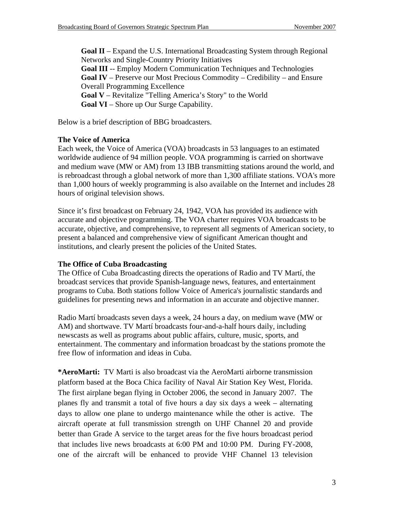**Goal II** – Expand the U.S. International Broadcasting System through Regional Networks and Single-Country Priority Initiatives **Goal III** -- Employ Modern Communication Techniques and Technologies **Goal IV** – Preserve our Most Precious Commodity – Credibility – and Ensure Overall Programming Excellence **Goal V** – Revitalize "Telling America's Story" to the World **Goal VI** – Shore up Our Surge Capability.

Below is a brief description of BBG broadcasters.

#### **The Voice of America**

Each week, the Voice of America (VOA) broadcasts in 53 languages to an estimated worldwide audience of 94 million people. VOA programming is carried on shortwave and medium wave (MW or AM) from 13 IBB transmitting stations around the world, and is rebroadcast through a global network of more than 1,300 affiliate stations. VOA's more than 1,000 hours of weekly programming is also available on the Internet and includes 28 hours of original television shows.

Since it's first broadcast on February 24, 1942, VOA has provided its audience with accurate and objective programming. The VOA charter requires VOA broadcasts to be accurate, objective, and comprehensive, to represent all segments of American society, to present a balanced and comprehensive view of significant American thought and institutions, and clearly present the policies of the United States.

#### **The Office of Cuba Broadcasting**

The Office of Cuba Broadcasting directs the operations of Radio and TV Martí, the broadcast services that provide Spanish-language news, features, and entertainment programs to Cuba. Both stations follow Voice of America's journalistic standards and guidelines for presenting news and information in an accurate and objective manner.

Radio Martí broadcasts seven days a week, 24 hours a day, on medium wave (MW or AM) and shortwave. TV Martí broadcasts four-and-a-half hours daily, including newscasts as well as programs about public affairs, culture, music, sports, and entertainment. The commentary and information broadcast by the stations promote the free flow of information and ideas in Cuba.

**\*AeroMarti:** TV Marti is also broadcast via the AeroMarti airborne transmission platform based at the Boca Chica facility of Naval Air Station Key West, Florida. The first airplane began flying in October 2006, the second in January 2007. The planes fly and transmit a total of five hours a day six days a week – alternating days to allow one plane to undergo maintenance while the other is active. The aircraft operate at full transmission strength on UHF Channel 20 and provide better than Grade A service to the target areas for the five hours broadcast period that includes live news broadcasts at 6:00 PM and 10:00 PM. During FY-2008, one of the aircraft will be enhanced to provide VHF Channel 13 television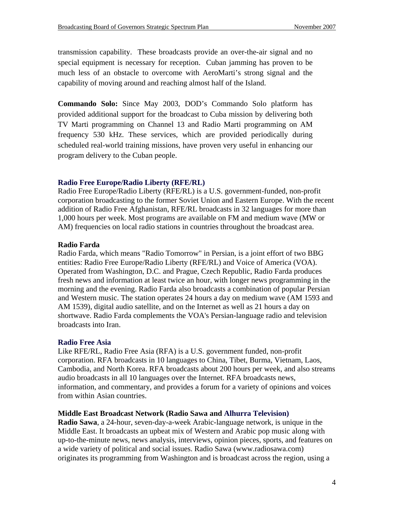transmission capability. These broadcasts provide an over-the-air signal and no special equipment is necessary for reception. Cuban jamming has proven to be much less of an obstacle to overcome with AeroMarti's strong signal and the capability of moving around and reaching almost half of the Island.

**Commando Solo:** Since May 2003, DOD's Commando Solo platform has provided additional support for the broadcast to Cuba mission by delivering both TV Marti programming on Channel 13 and Radio Marti programming on AM frequency 530 kHz. These services, which are provided periodically during scheduled real-world training missions, have proven very useful in enhancing our program delivery to the Cuban people.

#### **[Radio Free Europe/Radio Liberty \(RFE/RL\)](http://www.rferl.org/)**

Radio Free Europe/Radio Liberty (RFE/RL) is a U.S. government-funded, non-profit corporation broadcasting to the former Soviet Union and Eastern Europe. With the recent addition of Radio Free Afghanistan, RFE/RL broadcasts in 32 languages for more than 1,000 hours per week. Most programs are available on FM and medium wave (MW or AM) frequencies on local radio stations in countries throughout the broadcast area.

#### **Radio Farda**

Radio Farda, which means "Radio Tomorrow" in Persian, is a joint effort of two BBG entities: Radio Free Europe/Radio Liberty (RFE/RL) and Voice of America (VOA). Operated from Washington, D.C. and Prague, Czech Republic, Radio Farda produces fresh news and information at least twice an hour, with longer news programming in the morning and the evening. Radio Farda also broadcasts a combination of popular Persian and Western music. The station operates 24 hours a day on medium wave (AM 1593 and AM 1539), digital audio satellite, and on the Internet as well as 21 hours a day on shortwave. Radio Farda complements the VOA's Persian-language radio and television broadcasts into Iran.

#### **[Radio Free Asia](http://www.rfa.org/)**

Like RFE/RL, Radio Free Asia (RFA) is a U.S. government funded, non-profit corporation. RFA broadcasts in 10 languages to China, Tibet, Burma, Vietnam, Laos, Cambodia, and North Korea. RFA broadcasts about 200 hours per week, and also streams audio broadcasts in all 10 languages over the Internet. RFA broadcasts news, information, and commentary, and provides a forum for a variety of opinions and voices from within Asian countries.

#### **Middle East Broadcast Network (Radio Sawa and [Alhurra Television\)](http://www.alhurra.com/)**

**Radio Sawa**, a 24-hour, seven-day-a-week Arabic-language network, is unique in the Middle East. It broadcasts an upbeat mix of Western and Arabic pop music along with up-to-the-minute news, news analysis, interviews, opinion pieces, sports, and features on a wide variety of political and social issues. Radio Sawa (www.radiosawa.com) originates its programming from Washington and is broadcast across the region, using a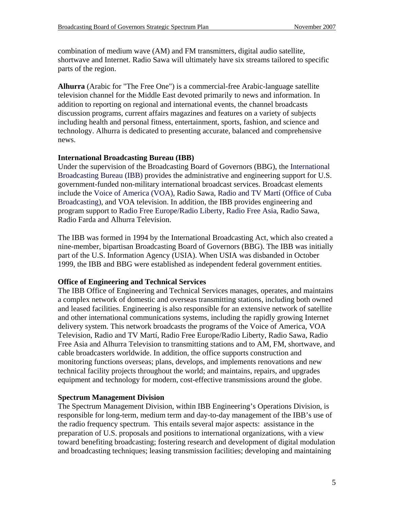combination of medium wave (AM) and FM transmitters, digital audio satellite, shortwave and Internet. Radio Sawa will ultimately have six streams tailored to specific parts of the region.

**Alhurra** (Arabic for "The Free One") is a commercial-free Arabic-language satellite television channel for the Middle East devoted primarily to news and information. In addition to reporting on regional and international events, the channel broadcasts discussion programs, current affairs magazines and features on a variety of subjects including health and personal fitness, entertainment, sports, fashion, and science and technology. Alhurra is dedicated to presenting accurate, balanced and comprehensive news.

#### **International Broadcasting Bureau (IBB)**

Under the supervision of the Broadcasting Board of Governors (BBG), the [International](http://www.ibb.gov/)  [Broadcasting Bureau \(IBB\)](http://www.ibb.gov/) provides the administrative and engineering support for U.S. government-funded non-military international broadcast services. Broadcast elements include the [Voice of America \(VOA\),](http://voanews.com/) Radio Sawa, [Radio and TV Martí \(Office of Cuba](http://www.martinoticias.com/)  [Broadcasting\)](http://www.martinoticias.com/), and VOA television. In addition, the IBB provides engineering and program support to [Radio Free Europe/Radio Liberty,](http://www.rferl.org/) [Radio Free Asia,](http://www.rfa.org/) Radio Sawa, Radio Farda and Alhurra Television.

The IBB was formed in 1994 by the International Broadcasting Act, which also created a nine-member, bipartisan Broadcasting Board of Governors (BBG). The IBB was initially part of the U.S. Information Agency (USIA). When USIA was disbanded in October 1999, the IBB and BBG were established as independent federal government entities.

#### **Office of Engineering and Technical Services**

The IBB Office of Engineering and Technical Services manages, operates, and maintains a complex network of domestic and overseas transmitting stations, including both owned and leased facilities. Engineering is also responsible for an extensive network of satellite and other international communications systems, including the rapidly growing Internet delivery system. This network broadcasts the programs of the Voice of America, VOA Television, Radio and TV Martí, Radio Free Europe/Radio Liberty, Radio Sawa, Radio Free Asia and Alhurra Television to transmitting stations and to AM, FM, shortwave, and cable broadcasters worldwide. In addition, the office supports construction and monitoring functions overseas; plans, develops, and implements renovations and new technical facility projects throughout the world; and maintains, repairs, and upgrades equipment and technology for modern, cost-effective transmissions around the globe.

#### **Spectrum Management Division**

The Spectrum Management Division, within IBB Engineering's Operations Division, is responsible for long-term, medium term and day-to-day management of the IBB's use of the radio frequency spectrum. This entails several major aspects: assistance in the preparation of U.S. proposals and positions to international organizations, with a view toward benefiting broadcasting; fostering research and development of digital modulation and broadcasting techniques; leasing transmission facilities; developing and maintaining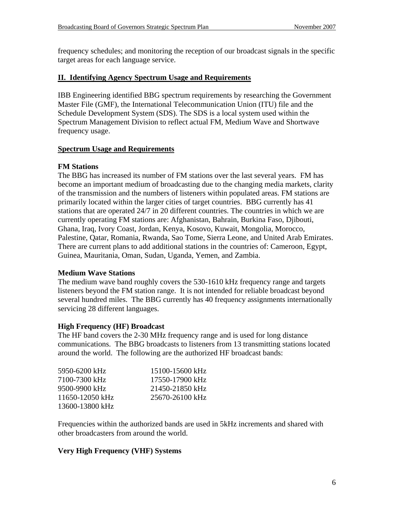frequency schedules; and monitoring the reception of our broadcast signals in the specific target areas for each language service.

#### **II. Identifying Agency Spectrum Usage and Requirements**

IBB Engineering identified BBG spectrum requirements by researching the Government Master File (GMF), the International Telecommunication Union (ITU) file and the Schedule Development System (SDS). The SDS is a local system used within the Spectrum Management Division to reflect actual FM, Medium Wave and Shortwave frequency usage.

#### **Spectrum Usage and Requirements**

#### **FM Stations**

The BBG has increased its number of FM stations over the last several years. FM has become an important medium of broadcasting due to the changing media markets, clarity of the transmission and the numbers of listeners within populated areas. FM stations are primarily located within the larger cities of target countries. BBG currently has 41 stations that are operated 24/7 in 20 different countries. The countries in which we are currently operating FM stations are: Afghanistan, Bahrain, Burkina Faso, Djibouti, Ghana, Iraq, Ivory Coast, Jordan, Kenya, Kosovo, Kuwait, Mongolia, Morocco, Palestine, Qatar, Romania, Rwanda, Sao Tome, Sierra Leone, and United Arab Emirates. There are current plans to add additional stations in the countries of: Cameroon, Egypt, Guinea, Mauritania, Oman, Sudan, Uganda, Yemen, and Zambia.

#### **Medium Wave Stations**

The medium wave band roughly covers the 530-1610 kHz frequency range and targets listeners beyond the FM station range. It is not intended for reliable broadcast beyond several hundred miles. The BBG currently has 40 frequency assignments internationally servicing 28 different languages.

#### **High Frequency (HF) Broadcast**

The HF band covers the 2-30 MHz frequency range and is used for long distance communications. The BBG broadcasts to listeners from 13 transmitting stations located around the world. The following are the authorized HF broadcast bands:

| 5950-6200 kHz   | 15100-15600 kHz |
|-----------------|-----------------|
| 7100-7300 kHz   | 17550-17900 kHz |
| 9500-9900 kHz   | 21450-21850 kHz |
| 11650-12050 kHz | 25670-26100 kHz |
| 13600-13800 kHz |                 |

Frequencies within the authorized bands are used in 5kHz increments and shared with other broadcasters from around the world.

#### **Very High Frequency (VHF) Systems**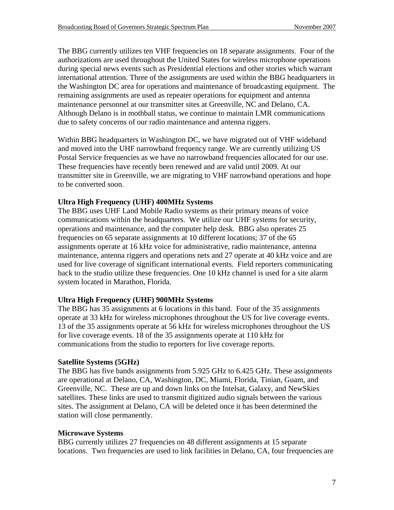The BBG currently utilizes ten VHF frequencies on 18 separate assignments. Four of the authorizations are used throughout the United States for wireless microphone operations during special news events such as Presidential elections and other stories which warrant international attention. Three of the assignments are used within the BBG headquarters in the Washington DC area for operations and maintenance of broadcasting equipment. The remaining assignments are used as repeater operations for equipment and antenna maintenance personnel at our transmitter sites at Greenville, NC and Delano, CA. Although Delano is in mothball status, we continue to maintain LMR communications due to safety concerns of our radio maintenance and antenna riggers.

Within BBG headquarters in Washington DC, we have migrated out of VHF wideband and moved into the UHF narrowband frequency range. We are currently utilizing US Postal Service frequencies as we have no narrowband frequencies allocated for our use. These frequencies have recently been renewed and are valid until 2009. At our transmitter site in Greenville, we are migrating to VHF narrowband operations and hope to be converted soon.

#### **Ultra High Frequency (UHF) 400MHz Systems**

The BBG uses UHF Land Mobile Radio systems as their primary means of voice communications within the headquarters. We utilize our UHF systems for security, operations and maintenance, and the computer help desk. BBG also operates 25 frequencies on 65 separate assignments at 10 different locations; 37 of the 65 assignments operate at 16 kHz voice for administrative, radio maintenance, antenna maintenance, antenna riggers and operations nets and 27 operate at 40 kHz voice and are used for live coverage of significant international events. Field reporters communicating back to the studio utilize these frequencies. One 10 kHz channel is used for a site alarm system located in Marathon, Florida.

#### **Ultra High Frequency (UHF) 900MHz Systems**

The BBG has 35 assignments at 6 locations in this band. Four of the 35 assignments operate at 33 kHz for wireless microphones throughout the US for live coverage events. 13 of the 35 assignments operate at 56 kHz for wireless microphones throughout the US for live coverage events. 18 of the 35 assignments operate at 110 kHz for communications from the studio to reporters for live coverage reports.

#### **Satellite Systems (5GHz)**

The BBG has five bands assignments from 5.925 GHz to 6.425 GHz. These assignments are operational at Delano, CA, Washington, DC, Miami, Florida, Tinian, Guam, and Greenville, NC. These are up and down links on the Intelsat, Galaxy, and NewSkies satellites. These links are used to transmit digitized audio signals between the various sites. The assignment at Delano, CA will be deleted once it has been determined the station will close permanently.

#### **Microwave Systems**

BBG currently utilizes 27 frequencies on 48 different assignments at 15 separate locations. Two frequencies are used to link facilities in Delano, CA, four frequencies are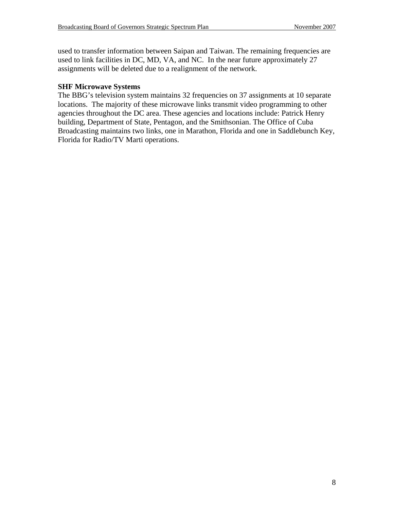used to transfer information between Saipan and Taiwan. The remaining frequencies are used to link facilities in DC, MD, VA, and NC. In the near future approximately 27 assignments will be deleted due to a realignment of the network.

#### **SHF Microwave Systems**

The BBG's television system maintains 32 frequencies on 37 assignments at 10 separate locations. The majority of these microwave links transmit video programming to other agencies throughout the DC area. These agencies and locations include: Patrick Henry building, Department of State, Pentagon, and the Smithsonian. The Office of Cuba Broadcasting maintains two links, one in Marathon, Florida and one in Saddlebunch Key, Florida for Radio/TV Marti operations.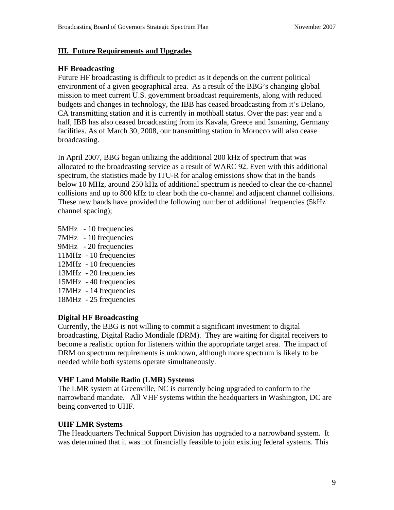#### **III. Future Requirements and Upgrades**

#### **HF Broadcasting**

Future HF broadcasting is difficult to predict as it depends on the current political environment of a given geographical area. As a result of the BBG's changing global mission to meet current U.S. government broadcast requirements, along with reduced budgets and changes in technology, the IBB has ceased broadcasting from it's Delano, CA transmitting station and it is currently in mothball status. Over the past year and a half, IBB has also ceased broadcasting from its Kavala, Greece and Ismaning, Germany facilities. As of March 30, 2008, our transmitting station in Morocco will also cease broadcasting.

In April 2007, BBG began utilizing the additional 200 kHz of spectrum that was allocated to the broadcasting service as a result of WARC 92. Even with this additional spectrum, the statistics made by ITU-R for analog emissions show that in the bands below 10 MHz, around 250 kHz of additional spectrum is needed to clear the co-channel collisions and up to 800 kHz to clear both the co-channel and adjacent channel collisions. These new bands have provided the following number of additional frequencies (5kHz channel spacing);

5MHz - 10 frequencies 7MHz - 10 frequencies 9MHz - 20 frequencies 11MHz - 10 frequencies 12MHz - 10 frequencies 13MHz - 20 frequencies 15MHz - 40 frequencies 17MHz - 14 frequencies 18MHz - 25 frequencies

#### **Digital HF Broadcasting**

Currently, the BBG is not willing to commit a significant investment to digital broadcasting, Digital Radio Mondiale (DRM). They are waiting for digital receivers to become a realistic option for listeners within the appropriate target area. The impact of DRM on spectrum requirements is unknown, although more spectrum is likely to be needed while both systems operate simultaneously.

#### **VHF Land Mobile Radio (LMR) Systems**

The LMR system at Greenville, NC is currently being upgraded to conform to the narrowband mandate. All VHF systems within the headquarters in Washington, DC are being converted to UHF.

#### **UHF LMR Systems**

The Headquarters Technical Support Division has upgraded to a narrowband system. It was determined that it was not financially feasible to join existing federal systems. This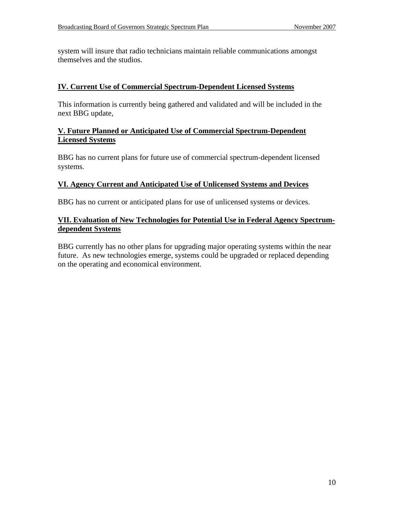system will insure that radio technicians maintain reliable communications amongst themselves and the studios.

#### **IV. Current Use of Commercial Spectrum-Dependent Licensed Systems**

This information is currently being gathered and validated and will be included in the next BBG update,

#### **V. Future Planned or Anticipated Use of Commercial Spectrum-Dependent Licensed Systems**

BBG has no current plans for future use of commercial spectrum-dependent licensed systems.

#### **VI. Agency Current and Anticipated Use of Unlicensed Systems and Devices**

BBG has no current or anticipated plans for use of unlicensed systems or devices.

#### **VII. Evaluation of New Technologies for Potential Use in Federal Agency Spectrumdependent Systems**

BBG currently has no other plans for upgrading major operating systems within the near future. As new technologies emerge, systems could be upgraded or replaced depending on the operating and economical environment.